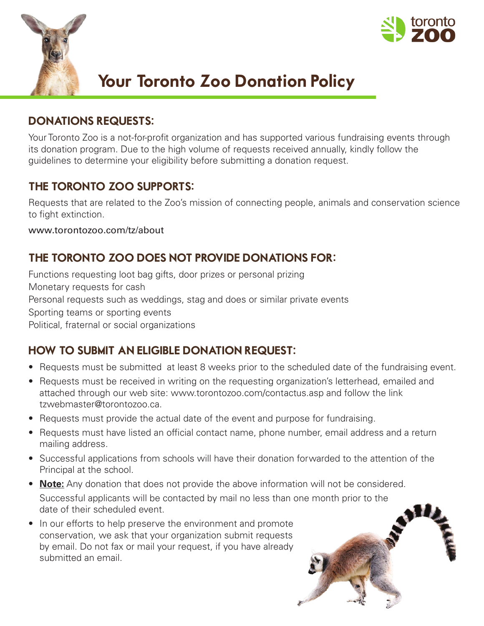



# Your Toronto Zoo Donation Policy

### DONATIONS REQUESTS:

Your Toronto Zoo is a not-for-profit organization and has supported various fundraising events through its donation program. Due to the high volume of requests received annually, kindly follow the guidelines to determine your eligibility before submitting a donation request.

### THE TORONTO ZOO SUPPORTS:

Requests that are related to the Zoo's mission of connecting people, animals and conservation science to fight extinction.

www.torontozoo.com/tz/about

# THE TORONTO ZOO DOES NOT PROVIDE DONATIONS FOR:

Functions requesting loot bag gifts, door prizes or personal prizing Monetary requests for cash Personal requests such as weddings, stag and does or similar private events Sporting teams or sporting events Political, fraternal or social organizations

# HOW TO SUBMIT AN ELIGIBLE DONATION REQUEST:

- Requests must be submitted at least 8 weeks prior to the scheduled date of the fundraising event.
- Requests must be received in writing on the requesting organization's letterhead, emailed and attached through our web site: www.torontozoo.com/contactus.asp and follow the link tzwebmaster@torontozoo.ca.
- Requests must provide the actual date of the event and purpose for fundraising.
- Requests must have listed an official contact name, phone number, email address and a return mailing address.
- Successful applications from schools will have their donation forwarded to the attention of the Principal at the school.
- **Note:** Any donation that does not provide the above information will not be considered. Successful applicants will be contacted by mail no less than one month prior to the date of their scheduled event.
- In our efforts to help preserve the environment and promote conservation, we ask that your organization submit requests by email. Do not fax or mail your request, if you have already submitted an email.